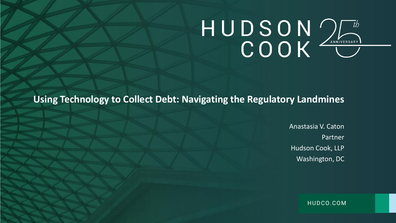HUDCO.COM

Anastasia V. Caton Partner Hudson Cook, LLP Washington, DC

**Using Technology to Collect Debt: Navigating the Regulatory Landmines**

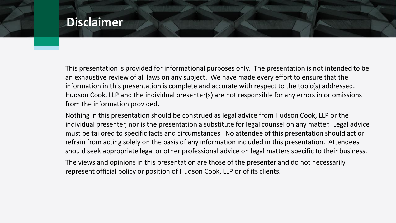This presentation is provided for informational purposes only. The presentation is not intended to be an exhaustive review of all laws on any subject. We have made every effort to ensure that the information in this presentation is complete and accurate with respect to the topic(s) addressed. Hudson Cook, LLP and the individual presenter(s) are not responsible for any errors in or omissions from the information provided.

Nothing in this presentation should be construed as legal advice from Hudson Cook, LLP or the individual presenter, nor is the presentation a substitute for legal counsel on any matter. Legal advice must be tailored to specific facts and circumstances. No attendee of this presentation should act or refrain from acting solely on the basis of any information included in this presentation. Attendees should seek appropriate legal or other professional advice on legal matters specific to their business. The views and opinions in this presentation are those of the presenter and do not necessarily

represent official policy or position of Hudson Cook, LLP or of its clients.



## **Disclaimer**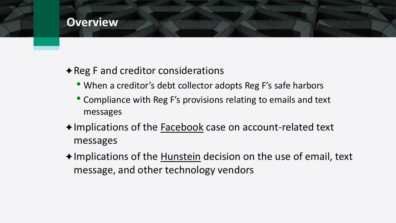- When a creditor's debt collector adopts Reg F's safe harbors
- Compliance with Reg F's provisions relating to emails and text messages
- ◆Implications of the Facebook case on account-related text messages
- ◆Implications of the Hunstein decision on the use of email, text message, and other technology vendors





### $\rightarrow$  Reg F and creditor considerations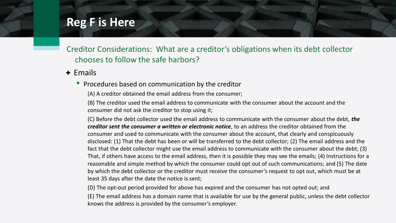• Procedures based on communication by the creditor

(A) A creditor obtained the email address from the consumer;

(B) The creditor used the email address to communicate with the consumer about the account and the consumer did not ask the creditor to stop using it;

(C) Before the debt collector used the email address to communicate with the consumer about the debt, *the creditor sent the consumer a written or electronic notice*, to an address the creditor obtained from the consumer and used to communicate with the consumer about the account, that clearly and conspicuously disclosed: (1) That the debt has been or will be transferred to the debt collector; (2) The email address and the fact that the debt collector might use the email address to communicate with the consumer about the debt; (3) That, if others have access to the email address, then it is possible they may see the emails; (4) Instructions for a reasonable and simple method by which the consumer could opt out of such communications; and (5) The date by which the debt collector or the creditor must receive the consumer's request to opt out, which must be at least 35 days after the date the notice is sent;

(D) The opt-out period provided for above has expired and the consumer has not opted out; and (E) The email address has a domain name that is available for use by the general public, unless the debt collector knows the address is provided by the consumer's employer.



### **Reg F is Here**

Creditor Considerations: What are a creditor's obligations when its debt collector chooses to follow the safe harbors?

### $\triangle$  Emails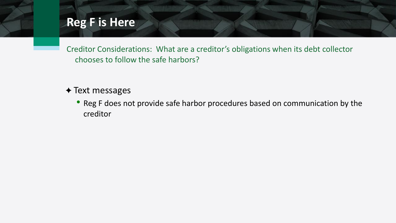✦ Text messages

• Reg F does not provide safe harbor procedures based on communication by the creditor



## **Reg F is Here**

Creditor Considerations: What are a creditor's obligations when its debt collector chooses to follow the safe harbors?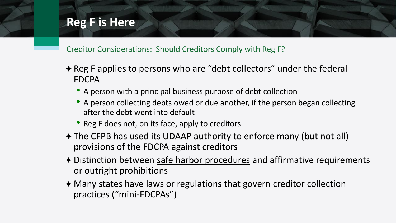- ✦ Reg F applies to persons who are "debt collectors" under the federal FDCPA
	- A person with a principal business purpose of debt collection
	- A person collecting debts owed or due another, if the person began collecting after the debt went into default
	- Reg F does not, on its face, apply to creditors
- ✦ The CFPB has used its UDAAP authority to enforce many (but not all) provisions of the FDCPA against creditors
- ✦ Distinction between safe harbor procedures and affirmative requirements or outright prohibitions
- ✦ Many states have laws or regulations that govern creditor collection practices ("mini-FDCPAs")



## **Reg F is Here**

Creditor Considerations: Should Creditors Comply with Reg F?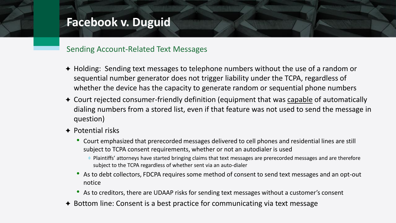- ✦ Holding: Sending text messages to telephone numbers without the use of a random or sequential number generator does not trigger liability under the TCPA, regardless of whether the device has the capacity to generate random or sequential phone numbers
- ✦ Court rejected consumer-friendly definition (equipment that was capable of automatically dialing numbers from a stored list, even if that feature was not used to send the message in question)
- $\triangle$  Potential risks
	- Court emphasized that prerecorded messages delivered to cell phones and residential lines are still subject to TCPA consent requirements, whether or not an autodialer is used
		- Plaintiffs' attorneys have started bringing claims that text messages are prerecorded messages and are therefore subject to the TCPA regardless of whether sent via an auto-dialer
	- As to debt collectors, FDCPA requires some method of consent to send text messages and an opt-out notice
	- As to creditors, there are UDAAP risks for sending text messages without a customer's consent
- ✦ Bottom line: Consent is a best practice for communicating via text message



## **Facebook v. Duguid**

### Sending Account-Related Text Messages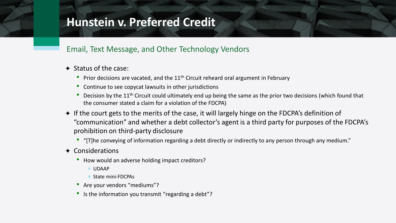- ✦ Status of the case:
	- Prior decisions are vacated, and the  $11<sup>th</sup>$  Circuit reheard oral argument in February
	- Continue to see copycat lawsuits in other jurisdictions
	- Decision by the 11<sup>th</sup> Circuit could ultimately end up being the same as the prior two decisions (which found that the consumer stated a claim for a violation of the FDCPA)
- ✦ If the court gets to the merits of the case, it will largely hinge on the FDCPA's definition of "communication" and whether a debt collector's agent is a third party for purposes of the FDCPA's prohibition on third-party disclosure
	- "[T]he conveying of information regarding a debt directly or indirectly to any person through any medium."
- ✦ Considerations
	- How would an adverse holding impact creditors?
		- UDAAP
		- State mini-FDCPAs
	- Are your vendors "mediums"?
	- Is the information you transmit "regarding a debt"?



## **Hunstein v. Preferred Credit**

### Email, Text Message, and Other Technology Vendors